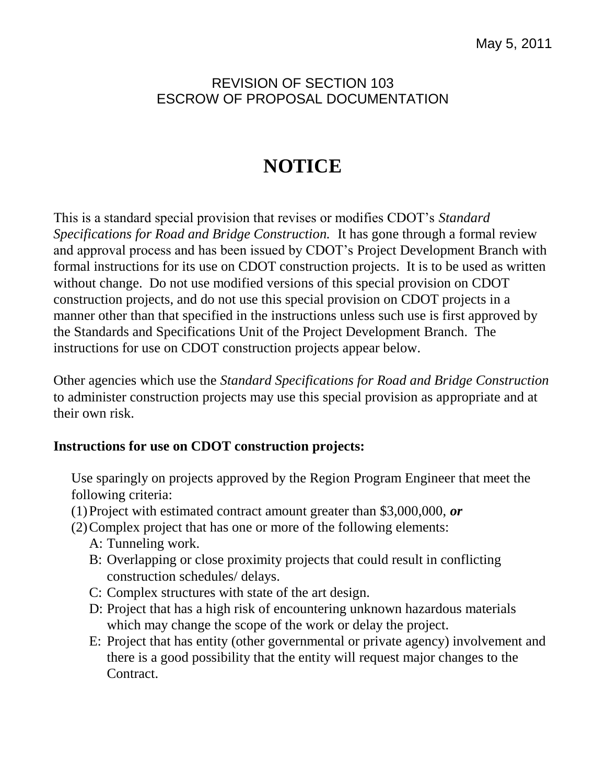## REVISION OF SECTION 103 ESCROW OF PROPOSAL DOCUMENTATION

# **NOTICE**

This is a standard special provision that revises or modifies CDOT's *Standard Specifications for Road and Bridge Construction.* It has gone through a formal review and approval process and has been issued by CDOT's Project Development Branch with formal instructions for its use on CDOT construction projects. It is to be used as written without change. Do not use modified versions of this special provision on CDOT construction projects, and do not use this special provision on CDOT projects in a manner other than that specified in the instructions unless such use is first approved by the Standards and Specifications Unit of the Project Development Branch. The instructions for use on CDOT construction projects appear below.

Other agencies which use the *Standard Specifications for Road and Bridge Construction* to administer construction projects may use this special provision as appropriate and at their own risk.

### **Instructions for use on CDOT construction projects:**

Use sparingly on projects approved by the Region Program Engineer that meet the following criteria:

- (1)Project with estimated contract amount greater than \$3,000,000, *or*
- (2)Complex project that has one or more of the following elements:
	- A: Tunneling work.
	- B: Overlapping or close proximity projects that could result in conflicting construction schedules/ delays.
	- C: Complex structures with state of the art design.
	- D: Project that has a high risk of encountering unknown hazardous materials which may change the scope of the work or delay the project.
	- E: Project that has entity (other governmental or private agency) involvement and there is a good possibility that the entity will request major changes to the Contract.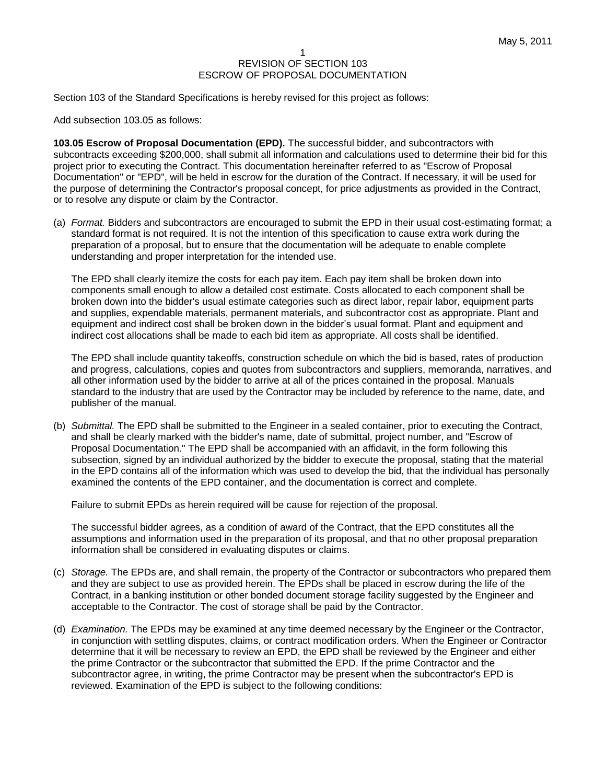#### 1 REVISION OF SECTION 103 ESCROW OF PROPOSAL DOCUMENTATION

Section 103 of the Standard Specifications is hereby revised for this project as follows:

Add subsection 103.05 as follows:

**103.05 Escrow of Proposal Documentation (EPD).** The successful bidder, and subcontractors with subcontracts exceeding \$200,000, shall submit all information and calculations used to determine their bid for this project prior to executing the Contract. This documentation hereinafter referred to as "Escrow of Proposal Documentation" or "EPD", will be held in escrow for the duration of the Contract. If necessary, it will be used for the purpose of determining the Contractor's proposal concept, for price adjustments as provided in the Contract, or to resolve any dispute or claim by the Contractor.

(a) *Format.* Bidders and subcontractors are encouraged to submit the EPD in their usual cost-estimating format; a standard format is not required. It is not the intention of this specification to cause extra work during the preparation of a proposal, but to ensure that the documentation will be adequate to enable complete understanding and proper interpretation for the intended use.

The EPD shall clearly itemize the costs for each pay item. Each pay item shall be broken down into components small enough to allow a detailed cost estimate. Costs allocated to each component shall be broken down into the bidder's usual estimate categories such as direct labor, repair labor, equipment parts and supplies, expendable materials, permanent materials, and subcontractor cost as appropriate. Plant and equipment and indirect cost shall be broken down in the bidder's usual format. Plant and equipment and indirect cost allocations shall be made to each bid item as appropriate. All costs shall be identified.

The EPD shall include quantity takeoffs, construction schedule on which the bid is based, rates of production and progress, calculations, copies and quotes from subcontractors and suppliers, memoranda, narratives, and all other information used by the bidder to arrive at all of the prices contained in the proposal. Manuals standard to the industry that are used by the Contractor may be included by reference to the name, date, and publisher of the manual.

(b) *Submittal.* The EPD shall be submitted to the Engineer in a sealed container, prior to executing the Contract, and shall be clearly marked with the bidder's name, date of submittal, project number, and "Escrow of Proposal Documentation." The EPD shall be accompanied with an affidavit, in the form following this subsection, signed by an individual authorized by the bidder to execute the proposal, stating that the material in the EPD contains all of the information which was used to develop the bid, that the individual has personally examined the contents of the EPD container, and the documentation is correct and complete.

Failure to submit EPDs as herein required will be cause for rejection of the proposal.

The successful bidder agrees, as a condition of award of the Contract, that the EPD constitutes all the assumptions and information used in the preparation of its proposal, and that no other proposal preparation information shall be considered in evaluating disputes or claims.

- (c) *Storage.* The EPDs are, and shall remain, the property of the Contractor or subcontractors who prepared them and they are subject to use as provided herein. The EPDs shall be placed in escrow during the life of the Contract, in a banking institution or other bonded document storage facility suggested by the Engineer and acceptable to the Contractor. The cost of storage shall be paid by the Contractor.
- (d) *Examination.* The EPDs may be examined at any time deemed necessary by the Engineer or the Contractor, in conjunction with settling disputes, claims, or contract modification orders. When the Engineer or Contractor determine that it will be necessary to review an EPD, the EPD shall be reviewed by the Engineer and either the prime Contractor or the subcontractor that submitted the EPD. If the prime Contractor and the subcontractor agree, in writing, the prime Contractor may be present when the subcontractor's EPD is reviewed. Examination of the EPD is subject to the following conditions: